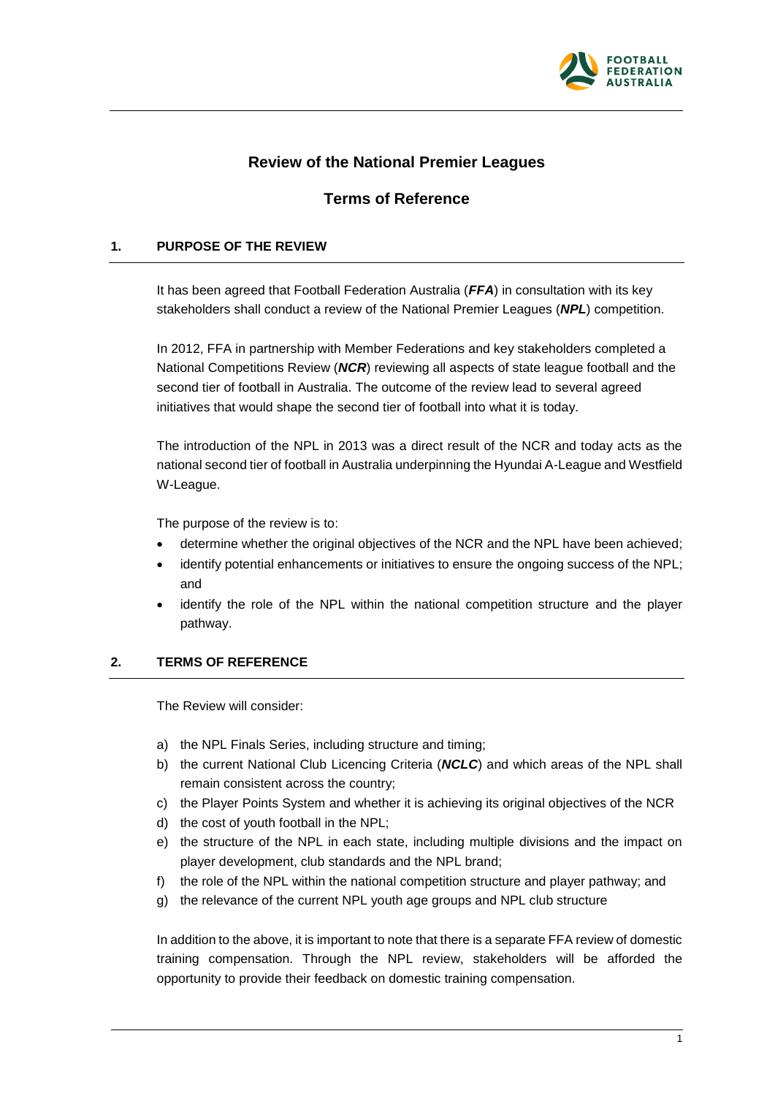

## **Review of the National Premier Leagues**

# **Terms of Reference**

### **1. PURPOSE OF THE REVIEW**

It has been agreed that Football Federation Australia (*FFA*) in consultation with its key stakeholders shall conduct a review of the National Premier Leagues (*NPL*) competition.

In 2012, FFA in partnership with Member Federations and key stakeholders completed a National Competitions Review (*NCR*) reviewing all aspects of state league football and the second tier of football in Australia. The outcome of the review lead to several agreed initiatives that would shape the second tier of football into what it is today.

The introduction of the NPL in 2013 was a direct result of the NCR and today acts as the national second tier of football in Australia underpinning the Hyundai A-League and Westfield W-League.

The purpose of the review is to:

- determine whether the original objectives of the NCR and the NPL have been achieved;
- identify potential enhancements or initiatives to ensure the ongoing success of the NPL; and
- identify the role of the NPL within the national competition structure and the player pathway.

#### **2. TERMS OF REFERENCE**

The Review will consider:

- a) the NPL Finals Series, including structure and timing;
- b) the current National Club Licencing Criteria (*NCLC*) and which areas of the NPL shall remain consistent across the country;
- c) the Player Points System and whether it is achieving its original objectives of the NCR
- d) the cost of youth football in the NPL;
- e) the structure of the NPL in each state, including multiple divisions and the impact on player development, club standards and the NPL brand;
- f) the role of the NPL within the national competition structure and player pathway; and
- g) the relevance of the current NPL youth age groups and NPL club structure

In addition to the above, it is important to note that there is a separate FFA review of domestic training compensation. Through the NPL review, stakeholders will be afforded the opportunity to provide their feedback on domestic training compensation.